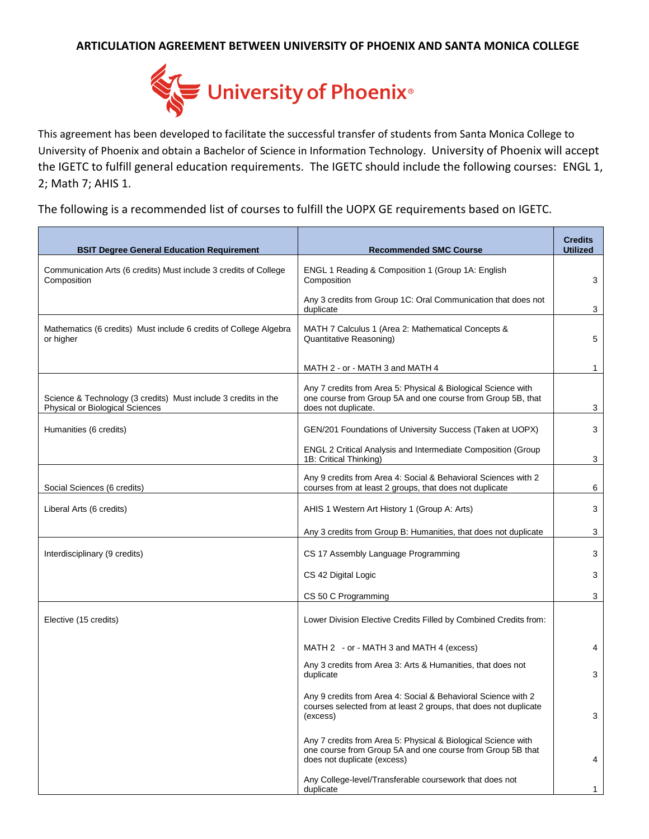## **ARTICULATION AGREEMENT BETWEEN UNIVERSITY OF PHOENIX AND SANTA MONICA COLLEGE**



This agreement has been developed to facilitate the successful transfer of students from Santa Monica College to University of Phoenix and obtain a Bachelor of Science in Information Technology. University of Phoenix will accept the IGETC to fulfill general education requirements. The IGETC should include the following courses: ENGL 1, 2; Math 7; AHIS 1.

The following is a recommended list of courses to fulfill the UOPX GE requirements based on IGETC.

| <b>BSIT Degree General Education Requirement</b>                                                  | <b>Recommended SMC Course</b>                                                                                                                              | <b>Credits</b><br><b>Utilized</b> |
|---------------------------------------------------------------------------------------------------|------------------------------------------------------------------------------------------------------------------------------------------------------------|-----------------------------------|
| Communication Arts (6 credits) Must include 3 credits of College<br>Composition                   | ENGL 1 Reading & Composition 1 (Group 1A: English<br>Composition                                                                                           | 3                                 |
|                                                                                                   | Any 3 credits from Group 1C: Oral Communication that does not<br>duplicate                                                                                 | 3                                 |
| Mathematics (6 credits) Must include 6 credits of College Algebra<br>or higher                    | MATH 7 Calculus 1 (Area 2: Mathematical Concepts &<br>Quantitative Reasoning)                                                                              |                                   |
|                                                                                                   | MATH 2 - or - MATH 3 and MATH 4                                                                                                                            | 1                                 |
| Science & Technology (3 credits) Must include 3 credits in the<br>Physical or Biological Sciences | Any 7 credits from Area 5: Physical & Biological Science with<br>one course from Group 5A and one course from Group 5B, that<br>does not duplicate.        | 3                                 |
| Humanities (6 credits)                                                                            | GEN/201 Foundations of University Success (Taken at UOPX)                                                                                                  | 3                                 |
|                                                                                                   | ENGL 2 Critical Analysis and Intermediate Composition (Group<br>1B: Critical Thinking)                                                                     | 3                                 |
| Social Sciences (6 credits)                                                                       | Any 9 credits from Area 4: Social & Behavioral Sciences with 2<br>courses from at least 2 groups, that does not duplicate                                  | 6                                 |
| Liberal Arts (6 credits)                                                                          | AHIS 1 Western Art History 1 (Group A: Arts)                                                                                                               | 3                                 |
|                                                                                                   | Any 3 credits from Group B: Humanities, that does not duplicate                                                                                            | 3                                 |
| Interdisciplinary (9 credits)                                                                     | CS 17 Assembly Language Programming                                                                                                                        | 3                                 |
|                                                                                                   | CS 42 Digital Logic                                                                                                                                        | 3                                 |
|                                                                                                   | CS 50 C Programming                                                                                                                                        | 3                                 |
| Elective (15 credits)                                                                             | Lower Division Elective Credits Filled by Combined Credits from:                                                                                           |                                   |
|                                                                                                   | MATH 2 - or - MATH 3 and MATH 4 (excess)                                                                                                                   | 4                                 |
|                                                                                                   | Any 3 credits from Area 3: Arts & Humanities, that does not<br>duplicate                                                                                   | 3                                 |
|                                                                                                   | Any 9 credits from Area 4: Social & Behavioral Science with 2<br>courses selected from at least 2 groups, that does not duplicate<br>(excess)              | 3                                 |
|                                                                                                   | Any 7 credits from Area 5: Physical & Biological Science with<br>one course from Group 5A and one course from Group 5B that<br>does not duplicate (excess) | 4                                 |
|                                                                                                   | Any College-level/Transferable coursework that does not<br>duplicate                                                                                       | 1                                 |